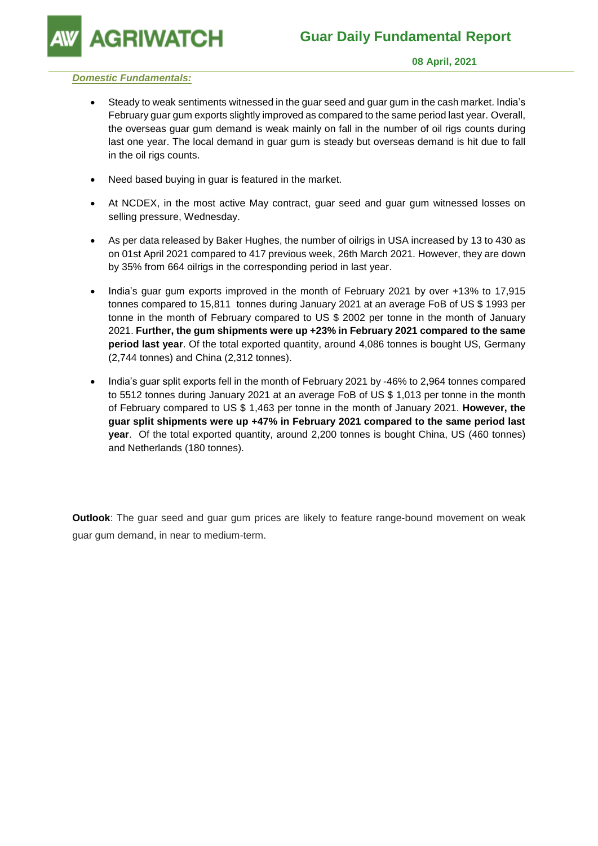**GRIWATCH** 

## *Domestic Fundamentals:*

- Steady to weak sentiments witnessed in the guar seed and guar gum in the cash market. India's February guar gum exports slightly improved as compared to the same period last year. Overall, the overseas guar gum demand is weak mainly on fall in the number of oil rigs counts during last one year. The local demand in guar gum is steady but overseas demand is hit due to fall in the oil rigs counts.
- Need based buying in guar is featured in the market.
- At NCDEX, in the most active May contract, guar seed and guar gum witnessed losses on selling pressure, Wednesday.
- As per data released by Baker Hughes, the number of oilrigs in USA increased by 13 to 430 as on 01st April 2021 compared to 417 previous week, 26th March 2021. However, they are down by 35% from 664 oilrigs in the corresponding period in last year.
- India's guar gum exports improved in the month of February 2021 by over +13% to 17,915 tonnes compared to 15,811 tonnes during January 2021 at an average FoB of US \$ 1993 per tonne in the month of February compared to US \$ 2002 per tonne in the month of January 2021. **Further, the gum shipments were up +23% in February 2021 compared to the same period last year**. Of the total exported quantity, around 4,086 tonnes is bought US, Germany (2,744 tonnes) and China (2,312 tonnes).
- India's guar split exports fell in the month of February 2021 by -46% to 2,964 tonnes compared to 5512 tonnes during January 2021 at an average FoB of US \$ 1,013 per tonne in the month of February compared to US \$ 1,463 per tonne in the month of January 2021. **However, the guar split shipments were up +47% in February 2021 compared to the same period last year**. Of the total exported quantity, around 2,200 tonnes is bought China, US (460 tonnes) and Netherlands (180 tonnes).

**Outlook**: The guar seed and guar gum prices are likely to feature range-bound movement on weak guar gum demand, in near to medium-term.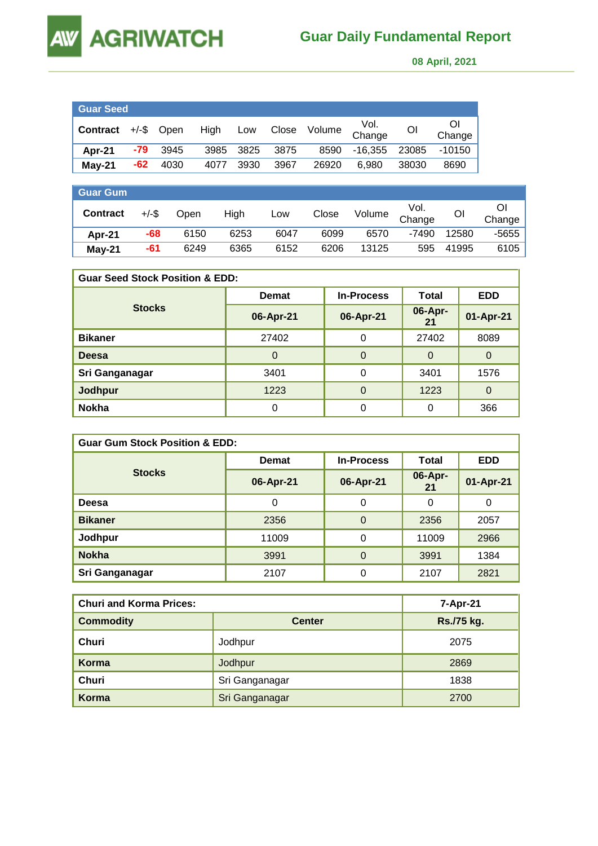

 **08 April, 2021** 

| <b>Guar Seed</b>           |     |      |          |       |      |              |                |       |              |
|----------------------------|-----|------|----------|-------|------|--------------|----------------|-------|--------------|
| <b>Contract</b> +/-\$ Open |     |      | High Low |       |      | Close Volume | Vol.<br>Change | Οl    | Οl<br>Change |
| Apr-21                     | -79 | 3945 | 3985     | -3825 | 3875 | 8590         | $-16.355$      | 23085 | $-10150$     |
| May-21                     | -62 | 4030 | 4077     | 3930  | 3967 | 26920        | 6.980          | 38030 | 8690         |

| <b>Guar Gum</b> |          |      |      |      |       |        |                |       |              |
|-----------------|----------|------|------|------|-------|--------|----------------|-------|--------------|
| <b>Contract</b> | $+/-$ \$ | Open | High | Low  | Close | Volume | Vol.<br>Change | ΟI    | Ől<br>Change |
| Apr-21          | -68      | 6150 | 6253 | 6047 | 6099  | 6570   | $-7490$        | 12580 | -5655        |
| $May-21$        | -61      | 6249 | 6365 | 6152 | 6206  | 13125  | 595            | 41995 | 6105         |

| <b>Guar Seed Stock Position &amp; EDD:</b> |              |                   |               |            |  |  |  |
|--------------------------------------------|--------------|-------------------|---------------|------------|--|--|--|
|                                            | <b>Demat</b> | <b>In-Process</b> | Total         | <b>EDD</b> |  |  |  |
| <b>Stocks</b>                              | 06-Apr-21    | 06-Apr-21         | 06-Apr-<br>21 | 01-Apr-21  |  |  |  |
| <b>Bikaner</b>                             | 27402        | 0                 | 27402         | 8089       |  |  |  |
| <b>Deesa</b>                               | 0            | $\Omega$          | 0             | O          |  |  |  |
| Sri Ganganagar                             | 3401         | 0                 | 3401          | 1576       |  |  |  |
| <b>Jodhpur</b>                             | 1223         | $\Omega$          | 1223          | $\Omega$   |  |  |  |
| <b>Nokha</b>                               | ი            | 0                 | 0             | 366        |  |  |  |

| <b>Guar Gum Stock Position &amp; EDD:</b> |              |                   |               |            |  |  |  |
|-------------------------------------------|--------------|-------------------|---------------|------------|--|--|--|
|                                           | <b>Demat</b> | <b>In-Process</b> | Total         | <b>EDD</b> |  |  |  |
| <b>Stocks</b>                             | 06-Apr-21    | 06-Apr-21         | 06-Apr-<br>21 | 01-Apr-21  |  |  |  |
| <b>Deesa</b>                              | 0            | 0                 | 0             | 0          |  |  |  |
| <b>Bikaner</b>                            | 2356         | $\Omega$          | 2356          | 2057       |  |  |  |
| Jodhpur                                   | 11009        | $\Omega$          | 11009         | 2966       |  |  |  |
| <b>Nokha</b>                              | 3991         | $\Omega$          | 3991          | 1384       |  |  |  |
| Sri Ganganagar                            | 2107         | 0                 | 2107          | 2821       |  |  |  |

| <b>Churi and Korma Prices:</b> | 7-Apr-21       |            |
|--------------------------------|----------------|------------|
| <b>Commodity</b>               | <b>Center</b>  | Rs./75 kg. |
| Churi                          | Jodhpur        | 2075       |
| Korma                          | Jodhpur        | 2869       |
| <b>Churi</b>                   | Sri Ganganagar | 1838       |
| Korma                          | Sri Ganganagar | 2700       |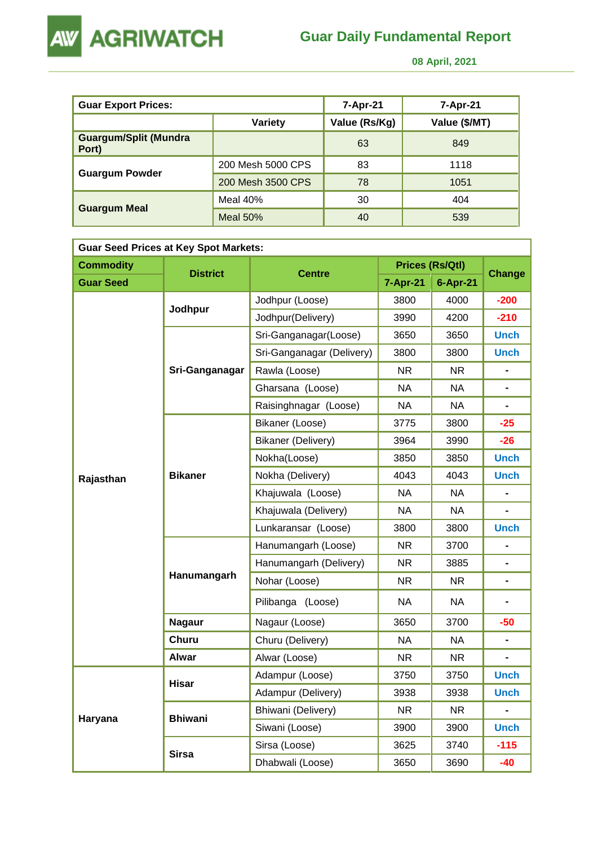



 **08 April, 2021** 

| <b>Guar Export Prices:</b>            |                   | 7-Apr-21      | 7-Apr-21      |
|---------------------------------------|-------------------|---------------|---------------|
|                                       | Variety           | Value (Rs/Kg) | Value (\$/MT) |
| <b>Guargum/Split (Mundra</b><br>Port) |                   | 63            | 849           |
| <b>Guargum Powder</b>                 | 200 Mesh 5000 CPS | 83            | 1118          |
|                                       | 200 Mesh 3500 CPS | 78            | 1051          |
|                                       | Meal 40%          | 30            | 404           |
| <b>Guargum Meal</b>                   | <b>Meal 50%</b>   | 40            | 539           |

| <b>Guar Seed Prices at Key Spot Markets:</b> |                 |                           |           |                        |                |  |  |
|----------------------------------------------|-----------------|---------------------------|-----------|------------------------|----------------|--|--|
| <b>Commodity</b>                             | <b>District</b> |                           |           | <b>Prices (Rs/Qtl)</b> |                |  |  |
| <b>Guar Seed</b>                             |                 | <b>Centre</b>             | 7-Apr-21  | 6-Apr-21               | <b>Change</b>  |  |  |
|                                              |                 | Jodhpur (Loose)           | 3800      | 4000                   | $-200$         |  |  |
|                                              | Jodhpur         | Jodhpur(Delivery)         | 3990      | 4200                   | $-210$         |  |  |
|                                              |                 | Sri-Ganganagar(Loose)     | 3650      | 3650                   | <b>Unch</b>    |  |  |
|                                              |                 | Sri-Ganganagar (Delivery) | 3800      | 3800                   | <b>Unch</b>    |  |  |
|                                              | Sri-Ganganagar  | Rawla (Loose)             | <b>NR</b> | <b>NR</b>              |                |  |  |
|                                              |                 | Gharsana (Loose)          | <b>NA</b> | NA                     | $\blacksquare$ |  |  |
|                                              |                 | Raisinghnagar (Loose)     | <b>NA</b> | <b>NA</b>              |                |  |  |
|                                              | <b>Bikaner</b>  | Bikaner (Loose)           | 3775      | 3800                   | $-25$          |  |  |
|                                              |                 | Bikaner (Delivery)        | 3964      | 3990                   | $-26$          |  |  |
|                                              |                 | Nokha(Loose)              | 3850      | 3850                   | <b>Unch</b>    |  |  |
| Rajasthan                                    |                 | Nokha (Delivery)          | 4043      | 4043                   | <b>Unch</b>    |  |  |
|                                              |                 | Khajuwala (Loose)         | <b>NA</b> | <b>NA</b>              | $\blacksquare$ |  |  |
|                                              |                 | Khajuwala (Delivery)      | <b>NA</b> | <b>NA</b>              | $\blacksquare$ |  |  |
|                                              |                 | Lunkaransar (Loose)       | 3800      | 3800                   | <b>Unch</b>    |  |  |
|                                              | Hanumangarh     | Hanumangarh (Loose)       | <b>NR</b> | 3700                   | $\blacksquare$ |  |  |
|                                              |                 | Hanumangarh (Delivery)    | <b>NR</b> | 3885                   | $\blacksquare$ |  |  |
|                                              |                 | Nohar (Loose)             | <b>NR</b> | <b>NR</b>              | $\blacksquare$ |  |  |
|                                              |                 | Pilibanga (Loose)         | <b>NA</b> | NA                     |                |  |  |
|                                              | <b>Nagaur</b>   | Nagaur (Loose)            | 3650      | 3700                   | -50            |  |  |
|                                              | <b>Churu</b>    | Churu (Delivery)          | <b>NA</b> | <b>NA</b>              |                |  |  |
|                                              | <b>Alwar</b>    | Alwar (Loose)             | <b>NR</b> | <b>NR</b>              |                |  |  |
|                                              |                 | Adampur (Loose)           | 3750      | 3750                   | <b>Unch</b>    |  |  |
|                                              | <b>Hisar</b>    | Adampur (Delivery)        | 3938      | 3938                   | <b>Unch</b>    |  |  |
| Haryana                                      | <b>Bhiwani</b>  | Bhiwani (Delivery)        | <b>NR</b> | NR.                    | $\blacksquare$ |  |  |
|                                              |                 | Siwani (Loose)            | 3900      | 3900                   | <b>Unch</b>    |  |  |
|                                              |                 | Sirsa (Loose)             | 3625      | 3740                   | $-115$         |  |  |
|                                              | <b>Sirsa</b>    | Dhabwali (Loose)          | 3650      | 3690                   | $-40$          |  |  |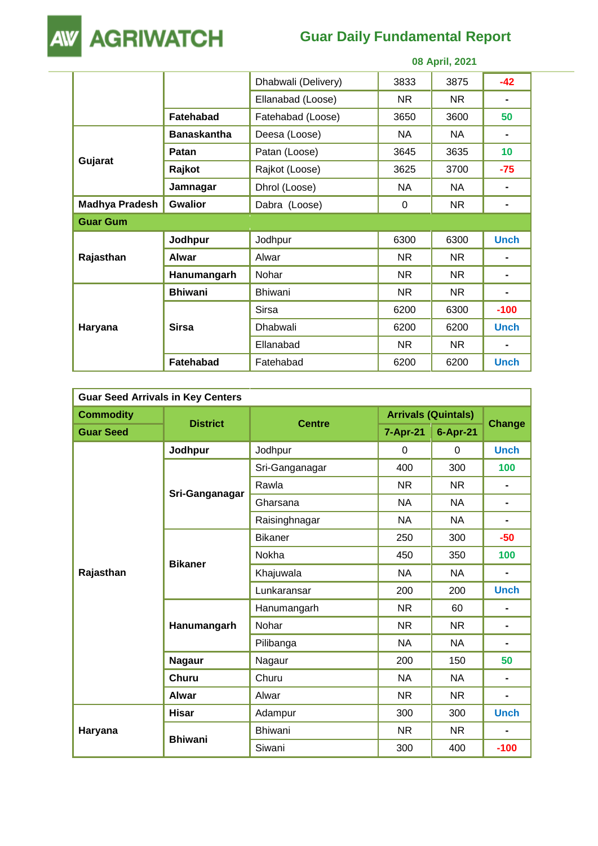

## **Guar Daily Fundamental Report**

|                       | 08 April, 2021     |                     |           |           |             |
|-----------------------|--------------------|---------------------|-----------|-----------|-------------|
|                       |                    | Dhabwali (Delivery) | 3833      | 3875      | $-42$       |
|                       |                    | Ellanabad (Loose)   | NR.       | NR.       |             |
|                       | <b>Fatehabad</b>   | Fatehabad (Loose)   | 3650      | 3600      | 50          |
|                       | <b>Banaskantha</b> | Deesa (Loose)       | <b>NA</b> | <b>NA</b> |             |
|                       | Patan              | Patan (Loose)       | 3645      | 3635      | 10          |
| Gujarat               | Rajkot             | Rajkot (Loose)      | 3625      | 3700      | $-75$       |
|                       | Jamnagar           | Dhrol (Loose)       | <b>NA</b> | <b>NA</b> |             |
| <b>Madhya Pradesh</b> | <b>Gwalior</b>     | Dabra (Loose)       | 0         | NR.       |             |
| <b>Guar Gum</b>       |                    |                     |           |           |             |
|                       | Jodhpur            | Jodhpur             | 6300      | 6300      | <b>Unch</b> |
| Rajasthan             | Alwar              | Alwar               | <b>NR</b> | <b>NR</b> |             |
|                       | Hanumangarh        | Nohar               | <b>NR</b> | <b>NR</b> |             |
|                       | <b>Bhiwani</b>     | <b>Bhiwani</b>      | <b>NR</b> | <b>NR</b> |             |
|                       |                    | <b>Sirsa</b>        | 6200      | 6300      | $-100$      |
| Haryana               | <b>Sirsa</b>       | Dhabwali            | 6200      | 6200      | <b>Unch</b> |
|                       |                    | Ellanabad           | <b>NR</b> | NR.       |             |
|                       | <b>Fatehabad</b>   | Fatehabad           | 6200      | 6200      | <b>Unch</b> |

| <b>Guar Seed Arrivals in Key Centers</b> |                 |                |                            |              |                |  |  |
|------------------------------------------|-----------------|----------------|----------------------------|--------------|----------------|--|--|
| <b>Commodity</b>                         | <b>District</b> |                | <b>Arrivals (Quintals)</b> |              |                |  |  |
| <b>Guar Seed</b>                         |                 | <b>Centre</b>  | <b>7-Apr-21</b>            | $6 - Apr-21$ | <b>Change</b>  |  |  |
|                                          | Jodhpur         | Jodhpur        | $\Omega$                   | $\Omega$     | <b>Unch</b>    |  |  |
|                                          |                 | Sri-Ganganagar | 400                        | 300          | 100            |  |  |
|                                          |                 | Rawla          | <b>NR</b>                  | <b>NR</b>    | $\blacksquare$ |  |  |
|                                          | Sri-Ganganagar  | Gharsana       | <b>NA</b>                  | NA           | $\blacksquare$ |  |  |
|                                          |                 | Raisinghnagar  | <b>NA</b>                  | <b>NA</b>    | $\blacksquare$ |  |  |
|                                          | <b>Bikaner</b>  | <b>Bikaner</b> | 250                        | 300          | $-50$          |  |  |
|                                          |                 | Nokha          | 450                        | 350          | 100            |  |  |
| Rajasthan                                |                 | Khajuwala      | <b>NA</b>                  | <b>NA</b>    | $\blacksquare$ |  |  |
|                                          |                 | Lunkaransar    | 200                        | 200          | <b>Unch</b>    |  |  |
|                                          | Hanumangarh     | Hanumangarh    | <b>NR</b>                  | 60           |                |  |  |
|                                          |                 | Nohar          | <b>NR</b>                  | <b>NR</b>    | $\blacksquare$ |  |  |
|                                          |                 | Pilibanga      | <b>NA</b>                  | <b>NA</b>    | $\blacksquare$ |  |  |
|                                          | <b>Nagaur</b>   | Nagaur         | 200                        | 150          | 50             |  |  |
|                                          | <b>Churu</b>    | Churu          | <b>NA</b>                  | <b>NA</b>    | $\blacksquare$ |  |  |
|                                          | <b>Alwar</b>    | Alwar          | <b>NR</b>                  | <b>NR</b>    | $\blacksquare$ |  |  |
|                                          | <b>Hisar</b>    | Adampur        | 300                        | 300          | <b>Unch</b>    |  |  |
| Haryana                                  |                 | <b>Bhiwani</b> | <b>NR</b>                  | <b>NR</b>    | -              |  |  |
|                                          | <b>Bhiwani</b>  | Siwani         | 300                        | 400          | $-100$         |  |  |